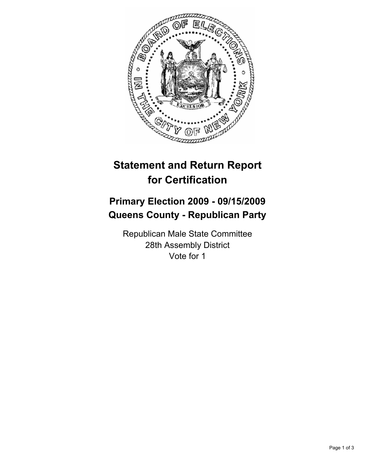

# **Statement and Return Report for Certification**

## **Primary Election 2009 - 09/15/2009 Queens County - Republican Party**

Republican Male State Committee 28th Assembly District Vote for 1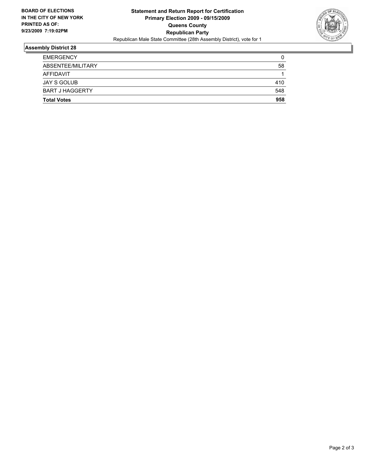

### **Assembly District 28**

| <b>Total Votes</b>     | 958 |
|------------------------|-----|
| <b>BART J HAGGERTY</b> | 548 |
| JAY S GOLUB            | 410 |
| AFFIDAVIT              | 1   |
| ABSENTEE/MILITARY      | 58  |
| <b>EMERGENCY</b>       | 0   |